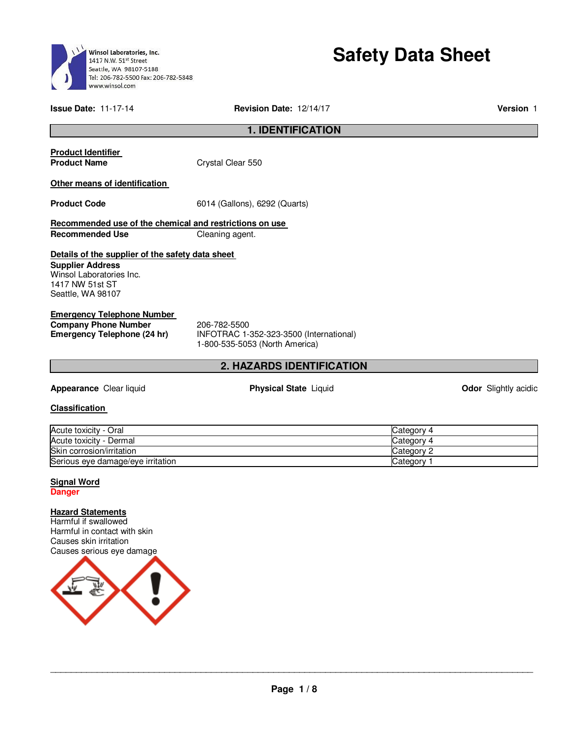

# **Safety Data Sheet**

**Issue Date:** 11-17-14 **Revision Date:** 12/14/17 **Version** 1

# **1. IDENTIFICATION**

# **Product Identifier**

**Product Name Crystal Clear 550** 

# **Other means of identification**

**Product Code** 6014 (Gallons), 6292 (Quarts)

# **Recommended use of the chemical and restrictions on use Recommended Use Cleaning agent.**

# **Details of the supplier of the safety data sheet**

**Supplier Address** Winsol Laboratories Inc. 1417 NW 51st ST Seattle, WA 98107

# **Emergency Telephone Number**

**Company Phone Number** 206-782-5500<br>**Emergency Telephone (24 hr)** INFOTRAC 1-

**Emergency Telephone (24 hr)** INFOTRAC 1-352-323-3500 (International) 1-800-535-5053 (North America)

# **2. HAZARDS IDENTIFICATION**

**Appearance** Clear liquid **Physical State** Liquid **Odor** Slightly acidic

### **Classification**

| Acute toxicity - Oral             | ICategory 4           |
|-----------------------------------|-----------------------|
| Acute toxicity - Dermal           | Category 4            |
| Skin corrosion/irritation         | Category $\heartsuit$ |
| Serious eye damage/eye irritation | <b>Category</b>       |

# **Signal Word**

**Danger** 

# **Hazard Statements**

Harmful if swallowed Harmful in contact with skin Causes skin irritation Causes serious eye damage

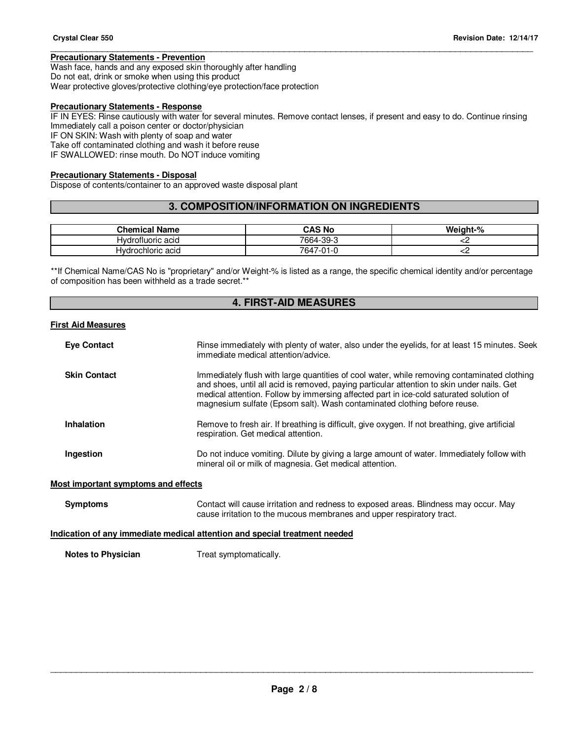# **Precautionary Statements - Prevention**

Wash face, hands and any exposed skin thoroughly after handling Do not eat, drink or smoke when using this product Wear protective gloves/protective clothing/eye protection/face protection

### **Precautionary Statements - Response**

IF IN EYES: Rinse cautiously with water for several minutes. Remove contact lenses, if present and easy to do. Continue rinsing Immediately call a poison center or doctor/physician

\_\_\_\_\_\_\_\_\_\_\_\_\_\_\_\_\_\_\_\_\_\_\_\_\_\_\_\_\_\_\_\_\_\_\_\_\_\_\_\_\_\_\_\_\_\_\_\_\_\_\_\_\_\_\_\_\_\_\_\_\_\_\_\_\_\_\_\_\_\_\_\_\_\_\_\_\_\_\_\_\_\_\_\_\_\_\_\_\_\_\_\_\_

IF ON SKIN: Wash with plenty of soap and water

Take off contaminated clothing and wash it before reuse

IF SWALLOWED: rinse mouth. Do NOT induce vomiting

### **Precautionary Statements - Disposal**

Dispose of contents/container to an approved waste disposal plant

# **3. COMPOSITION/INFORMATION ON INGREDIENTS**

| <b>Chemical Name</b> | CAS No         | Weight-% |
|----------------------|----------------|----------|
| Hydrofluoric acid    | 7664-39-3      |          |
| Hydrochloric acid    | 7647<br>7-01-0 | ∽        |

\*\*If Chemical Name/CAS No is "proprietary" and/or Weight-% is listed as a range, the specific chemical identity and/or percentage of composition has been withheld as a trade secret.\*\*

# **4. FIRST-AID MEASURES**

### **First Aid Measures**

| <b>Eye Contact</b>                 | Rinse immediately with plenty of water, also under the eyelids, for at least 15 minutes. Seek<br>immediate medical attention/advice.                                                                                                                                                                                                                            |
|------------------------------------|-----------------------------------------------------------------------------------------------------------------------------------------------------------------------------------------------------------------------------------------------------------------------------------------------------------------------------------------------------------------|
| <b>Skin Contact</b>                | Immediately flush with large quantities of cool water, while removing contaminated clothing<br>and shoes, until all acid is removed, paying particular attention to skin under nails. Get<br>medical attention. Follow by immersing affected part in ice-cold saturated solution of<br>magnesium sulfate (Epsom salt). Wash contaminated clothing before reuse. |
| <b>Inhalation</b>                  | Remove to fresh air. If breathing is difficult, give oxygen. If not breathing, give artificial<br>respiration. Get medical attention.                                                                                                                                                                                                                           |
| Ingestion                          | Do not induce vomiting. Dilute by giving a large amount of water. Immediately follow with<br>mineral oil or milk of magnesia. Get medical attention.                                                                                                                                                                                                            |
| ost important symptoms and effects |                                                                                                                                                                                                                                                                                                                                                                 |

### **Most important symptoms and effects**

**Symptoms** Contact will cause irritation and redness to exposed areas. Blindness may occur. May cause irritation to the mucous membranes and upper respiratory tract.

### **Indication of any immediate medical attention and special treatment needed**

**Notes to Physician**  Treat symptomatically.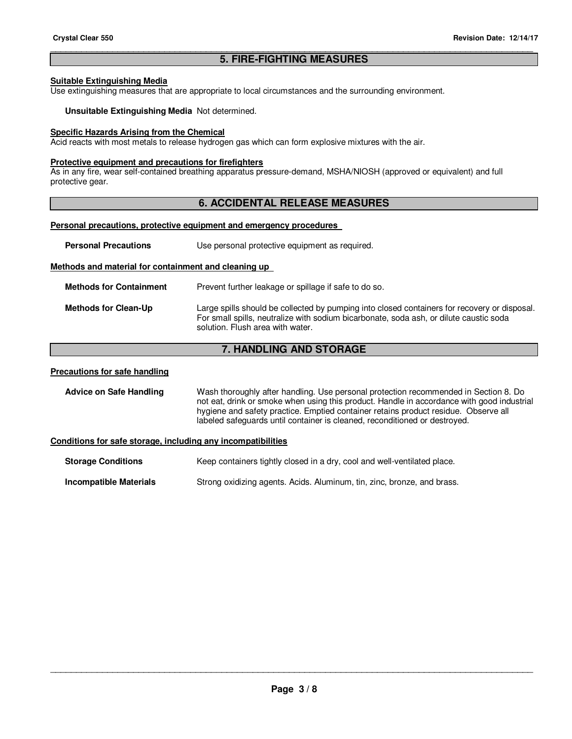# \_\_\_\_\_\_\_\_\_\_\_\_\_\_\_\_\_\_\_\_\_\_\_\_\_\_\_\_\_\_\_\_\_\_\_\_\_\_\_\_\_\_\_\_\_\_\_\_\_\_\_\_\_\_\_\_\_\_\_\_\_\_\_\_\_\_\_\_\_\_\_\_\_\_\_\_\_\_\_\_\_\_\_\_\_\_\_\_\_\_\_\_\_ **5. FIRE-FIGHTING MEASURES**

### **Suitable Extinguishing Media**

Use extinguishing measures that are appropriate to local circumstances and the surrounding environment.

**Unsuitable Extinguishing Media** Not determined.

### **Specific Hazards Arising from the Chemical**

Acid reacts with most metals to release hydrogen gas which can form explosive mixtures with the air.

### **Protective equipment and precautions for firefighters**

As in any fire, wear self-contained breathing apparatus pressure-demand, MSHA/NIOSH (approved or equivalent) and full protective gear.

# **6. ACCIDENTAL RELEASE MEASURES**

# **Personal precautions, protective equipment and emergency procedures**

| <b>Personal Precautions</b>                          | Use personal protective equipment as required.                                                                                                                                                                             |  |  |
|------------------------------------------------------|----------------------------------------------------------------------------------------------------------------------------------------------------------------------------------------------------------------------------|--|--|
| Methods and material for containment and cleaning up |                                                                                                                                                                                                                            |  |  |
| <b>Methods for Containment</b>                       | Prevent further leakage or spillage if safe to do so.                                                                                                                                                                      |  |  |
| <b>Methods for Clean-Up</b>                          | Large spills should be collected by pumping into closed containers for recovery or disposal.<br>For small spills, neutralize with sodium bicarbonate, soda ash, or dilute caustic soda<br>solution. Flush area with water. |  |  |
| <b>7. HANDLING AND STORAGE</b>                       |                                                                                                                                                                                                                            |  |  |

### **Precautions for safe handling**

**Advice on Safe Handling** Wash thoroughly after handling. Use personal protection recommended in Section 8. Do not eat, drink or smoke when using this product. Handle in accordance with good industrial hygiene and safety practice. Emptied container retains product residue. Observe all labeled safeguards until container is cleaned, reconditioned or destroyed.

## **Conditions for safe storage, including any incompatibilities**

| <b>Storage Conditions</b> | Keep containers tightly closed in a dry, cool and well-ventilated place. |
|---------------------------|--------------------------------------------------------------------------|
|                           |                                                                          |

**Incompatible Materials Strong oxidizing agents. Acids. Aluminum, tin, zinc, bronze, and brass.**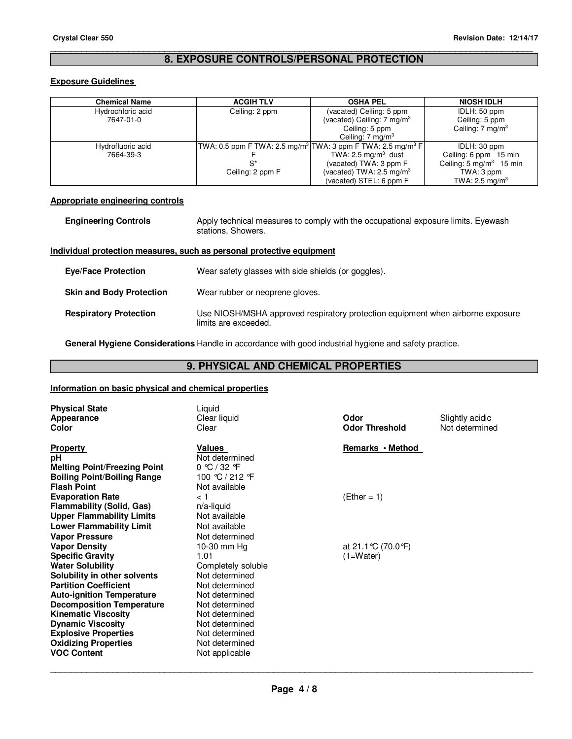# \_\_\_\_\_\_\_\_\_\_\_\_\_\_\_\_\_\_\_\_\_\_\_\_\_\_\_\_\_\_\_\_\_\_\_\_\_\_\_\_\_\_\_\_\_\_\_\_\_\_\_\_\_\_\_\_\_\_\_\_\_\_\_\_\_\_\_\_\_\_\_\_\_\_\_\_\_\_\_\_\_\_\_\_\_\_\_\_\_\_\_\_\_ **8. EXPOSURE CONTROLS/PERSONAL PROTECTION**

# **Exposure Guidelines**

| <b>Chemical Name</b> | <b>ACGIH TLV</b> | <b>OSHA PEL</b>                                                                     | <b>NIOSH IDLH</b>                  |
|----------------------|------------------|-------------------------------------------------------------------------------------|------------------------------------|
| Hydrochloric acid    | Ceiling: 2 ppm   | (vacated) Ceiling: 5 ppm                                                            | IDLH: 50 ppm                       |
| 7647-01-0            |                  | (vacated) Ceiling: $7 \text{ mg/m}^3$                                               | Ceiling: 5 ppm                     |
|                      |                  | Ceiling: 5 ppm                                                                      | Ceiling: $7 \text{ mg/m}^3$        |
|                      |                  | Ceiling: 7 mg/m <sup>3</sup>                                                        |                                    |
| Hydrofluoric acid    |                  | TWA: 0.5 ppm F TWA: 2.5 mg/m <sup>3</sup> TWA: 3 ppm F TWA: 2.5 mg/m <sup>3</sup> F | IDLH: 30 ppm                       |
| 7664-39-3            |                  | TWA: 2.5 mg/m <sup>3</sup> dust                                                     | Ceiling: 6 ppm 15 min              |
|                      | S*               | (vacated) TWA: 3 ppm F                                                              | Ceiling: $5 \text{ mg/m}^3$ 15 min |
|                      | Ceiling: 2 ppm F | (vacated) TWA: $2.5 \text{ mg/m}^3$                                                 | TWA: 3 ppm                         |
|                      |                  | (vacated) STEL: 6 ppm F                                                             | TWA: 2.5 mg/m <sup>3</sup>         |

# **Appropriate engineering controls**

| <b>Engineering Controls</b> | Apply technical measures to comply with the occupational exposure limits. Eyewash<br>stations. Showers. |
|-----------------------------|---------------------------------------------------------------------------------------------------------|
|                             |                                                                                                         |

# **Individual protection measures, such as personal protective equipment**

| <b>Eye/Face Protection</b>      | Wear safety glasses with side shields (or goggles).                                                     |
|---------------------------------|---------------------------------------------------------------------------------------------------------|
| <b>Skin and Body Protection</b> | Wear rubber or neoprene gloves.                                                                         |
| <b>Respiratory Protection</b>   | Use NIOSH/MSHA approved respiratory protection equipment when airborne exposure<br>limits are exceeded. |

**General Hygiene Considerations** Handle in accordance with good industrial hygiene and safety practice.

# **9. PHYSICAL AND CHEMICAL PROPERTIES**

# **Information on basic physical and chemical properties**

| <b>Physical State</b><br>Appearance<br>Color                                                                                                                                                                                 | Liquid<br>Clear liquid<br>Clear                                                                                            | Odor<br><b>Odor Threshold</b>       | Slightly acidic<br>Not determined |
|------------------------------------------------------------------------------------------------------------------------------------------------------------------------------------------------------------------------------|----------------------------------------------------------------------------------------------------------------------------|-------------------------------------|-----------------------------------|
| <b>Property</b><br>рH<br><b>Melting Point/Freezing Point</b><br><b>Boiling Point/Boiling Range</b><br><b>Flash Point</b>                                                                                                     | <b>Values</b><br>Not determined<br>$0 \text{ °C} / 32 \text{ °F}$<br>100 ℃ / 212 °F<br>Not available                       | Remarks • Method                    |                                   |
| <b>Evaporation Rate</b><br><b>Flammability (Solid, Gas)</b><br><b>Upper Flammability Limits</b><br><b>Lower Flammability Limit</b>                                                                                           | < 1<br>$n/a$ -liquid<br>Not available<br>Not available                                                                     | $(Ether = 1)$                       |                                   |
| <b>Vapor Pressure</b><br><b>Vapor Density</b><br><b>Specific Gravity</b><br><b>Water Solubility</b><br>Solubility in other solvents                                                                                          | Not determined<br>10-30 mm Hg<br>1.01<br>Completely soluble<br>Not determined                                              | at 21.1 °C (70.0 °F)<br>$(1=Water)$ |                                   |
| <b>Partition Coefficient</b><br><b>Auto-ignition Temperature</b><br><b>Decomposition Temperature</b><br><b>Kinematic Viscosity</b><br><b>Dynamic Viscosity</b><br><b>Explosive Properties</b><br><b>Oxidizing Properties</b> | Not determined<br>Not determined<br>Not determined<br>Not determined<br>Not determined<br>Not determined<br>Not determined |                                     |                                   |
| <b>VOC Content</b>                                                                                                                                                                                                           | Not applicable                                                                                                             |                                     |                                   |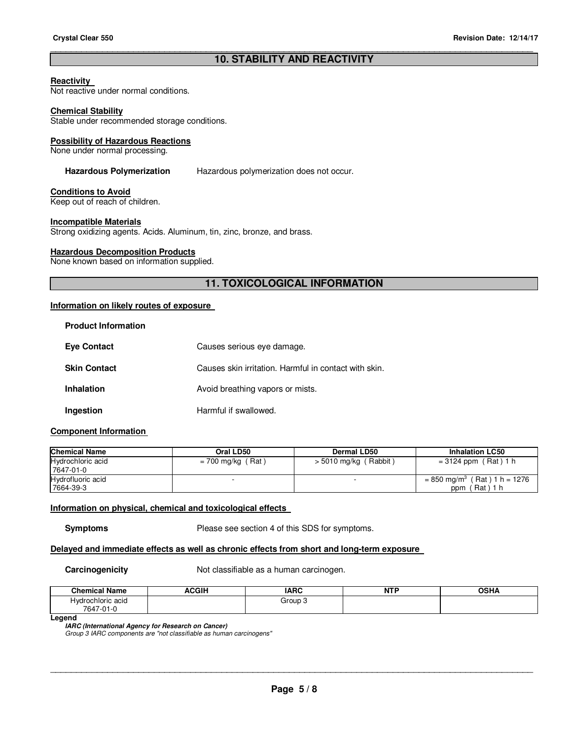# \_\_\_\_\_\_\_\_\_\_\_\_\_\_\_\_\_\_\_\_\_\_\_\_\_\_\_\_\_\_\_\_\_\_\_\_\_\_\_\_\_\_\_\_\_\_\_\_\_\_\_\_\_\_\_\_\_\_\_\_\_\_\_\_\_\_\_\_\_\_\_\_\_\_\_\_\_\_\_\_\_\_\_\_\_\_\_\_\_\_\_\_\_ **10. STABILITY AND REACTIVITY**

### **Reactivity**

Not reactive under normal conditions.

### **Chemical Stability**

Stable under recommended storage conditions.

### **Possibility of Hazardous Reactions**

None under normal processing.

**Hazardous Polymerization** Hazardous polymerization does not occur.

# **Conditions to Avoid**

Keep out of reach of children.

### **Incompatible Materials**

Strong oxidizing agents. Acids. Aluminum, tin, zinc, bronze, and brass.

# **Hazardous Decomposition Products**

None known based on information supplied.

# **11. TOXICOLOGICAL INFORMATION**

## **Information on likely routes of exposure**

| <b>Product Information</b> |                                                       |
|----------------------------|-------------------------------------------------------|
| <b>Eye Contact</b>         | Causes serious eye damage.                            |
| <b>Skin Contact</b>        | Causes skin irritation. Harmful in contact with skin. |
| <b>Inhalation</b>          | Avoid breathing vapors or mists.                      |
| Ingestion                  | Harmful if swallowed.                                 |

# **Component Information**

| <b>Chemical Name</b>           | Oral LD50           | Dermal LD50             | <b>Inhalation LC50</b>                                        |
|--------------------------------|---------------------|-------------------------|---------------------------------------------------------------|
| Hydrochloric acid<br>7647-01-0 | $= 700$ mg/kg (Rat) | $>$ 5010 mg/kg (Rabbit) | $= 3124$ ppm (Rat) 1 h                                        |
| Hydrofluoric acid<br>7664-39-3 |                     |                         | $= 850$ mg/m <sup>3</sup> (Rat) 1 h = 1276<br>(Rat)1 h<br>ppm |

# **Information on physical, chemical and toxicological effects**

**Symptoms** Please see section 4 of this SDS for symptoms.

# **Delayed and immediate effects as well as chronic effects from short and long-term exposure**

**Carcinogenicity Not classifiable as a human carcinogen.** 

| <b>Chemical Name</b>                             | ACGIH | <b>IARC</b> | ----<br>. .<br>N<br>. | OCDA<br>Jər<br>п, |
|--------------------------------------------------|-------|-------------|-----------------------|-------------------|
| Hvdrochloric acid<br>7647<br>$\sim$<br>7-U I - U |       | Group       |                       |                   |

### **Legend**

**IARC (International Agency for Research on Cancer)**

Group 3 IARC components are "not classifiable as human carcinogens"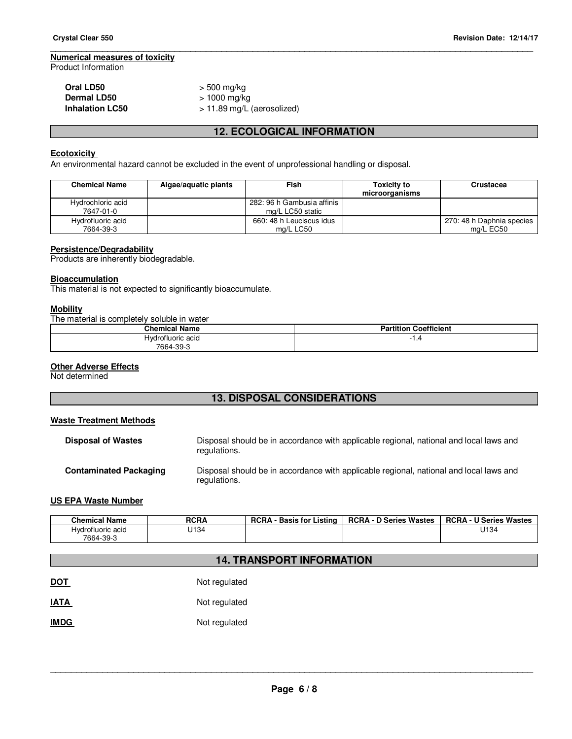# **Numerical measures of toxicity**

Product Information

# **Oral LD50** > 500 mg/kg<br>**Dermal LD50** > 1000 mg/kg **Dermal LD50**  $> 1000$  mg/kg<br> **Inhalation LC50**  $> 11.89$  mg/L

**Inhalation LC50** > 11.89 mg/L (aerosolized)

# **12. ECOLOGICAL INFORMATION**

\_\_\_\_\_\_\_\_\_\_\_\_\_\_\_\_\_\_\_\_\_\_\_\_\_\_\_\_\_\_\_\_\_\_\_\_\_\_\_\_\_\_\_\_\_\_\_\_\_\_\_\_\_\_\_\_\_\_\_\_\_\_\_\_\_\_\_\_\_\_\_\_\_\_\_\_\_\_\_\_\_\_\_\_\_\_\_\_\_\_\_\_\_

# **Ecotoxicity**

An environmental hazard cannot be excluded in the event of unprofessional handling or disposal.

| <b>Chemical Name</b>           | Algae/aguatic plants | Fish                                           | <b>Toxicity to</b><br>microorganisms | Crustacea                              |
|--------------------------------|----------------------|------------------------------------------------|--------------------------------------|----------------------------------------|
| Hydrochloric acid<br>7647-01-0 |                      | 282: 96 h Gambusia affinis<br>mg/L LC50 static |                                      |                                        |
| Hydrofluoric acid<br>7664-39-3 |                      | 660: 48 h Leuciscus idus<br>mg/L LC50          |                                      | 270: 48 h Daphnia species<br>ma/L EC50 |

# **Persistence/Degradability**

Products are inherently biodegradable.

### **Bioaccumulation**

This material is not expected to significantly bioaccumulate.

### **Mobility**

The material is completely soluble in water

| <b>Chemical Name</b> | <b>Partition Coefficient</b> |
|----------------------|------------------------------|
| Hydrofluoric acid    |                              |
| 7664-39-3            |                              |

# **Other Adverse Effects**

Not determined

# **13. DISPOSAL CONSIDERATIONS**

# **Waste Treatment Methods**

| <b>Disposal of Wastes</b>     | Disposal should be in accordance with applicable regional, national and local laws and<br>regulations. |
|-------------------------------|--------------------------------------------------------------------------------------------------------|
| <b>Contaminated Packaging</b> | Disposal should be in accordance with applicable regional, national and local laws and<br>regulations. |

# **US EPA Waste Number**

| <b>Chemical Name</b> | <b>RCRA</b> | <b>RCRA</b><br>Listina<br>Basis for | D Series Wastes<br>RCRA - | <b>RCRA-</b><br><b>U Series Wastes</b> |
|----------------------|-------------|-------------------------------------|---------------------------|----------------------------------------|
| Hvdrofluoric acid    | J134        |                                     |                           | U134                                   |
| 7664-39-3            |             |                                     |                           |                                        |

# **14. TRANSPORT INFORMATION**

| <b>DOT</b>  | Not regulated |
|-------------|---------------|
| <b>IATA</b> | Not regulated |
| <b>IMDG</b> | Not regulated |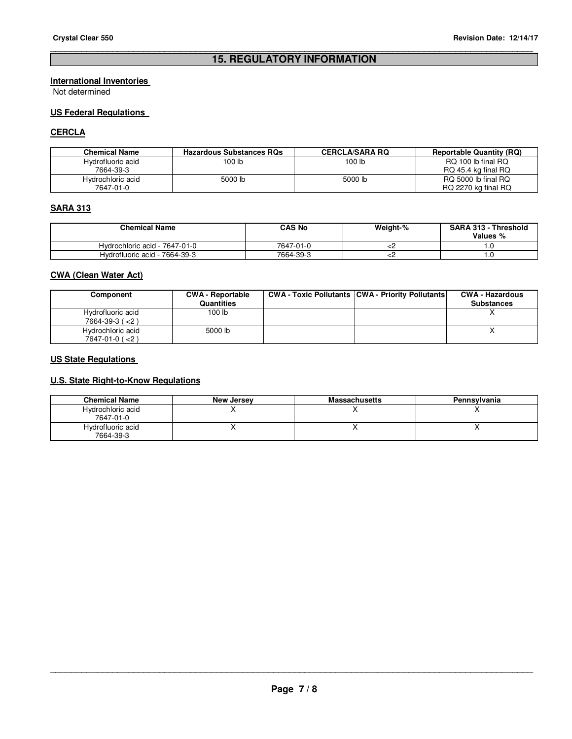# \_\_\_\_\_\_\_\_\_\_\_\_\_\_\_\_\_\_\_\_\_\_\_\_\_\_\_\_\_\_\_\_\_\_\_\_\_\_\_\_\_\_\_\_\_\_\_\_\_\_\_\_\_\_\_\_\_\_\_\_\_\_\_\_\_\_\_\_\_\_\_\_\_\_\_\_\_\_\_\_\_\_\_\_\_\_\_\_\_\_\_\_\_ **15. REGULATORY INFORMATION**

# **International Inventories**

Not determined

# **US Federal Regulations**

# **CERCLA**

| <b>Chemical Name</b> | <b>Hazardous Substances RQs</b> | <b>CERCLA/SARA RQ</b> | <b>Reportable Quantity (RQ)</b> |
|----------------------|---------------------------------|-----------------------|---------------------------------|
| Hydrofluoric acid    | 100 lb                          | 100 <sub>1b</sub>     | RQ 100 lb final RQ              |
| 7664-39-3            |                                 |                       | RQ 45.4 kg final RQ             |
| Hydrochloric acid    | 5000 lb                         | 5000 lb               | RQ 5000 lb final RQ             |
| 7647-01-0            |                                 |                       | RQ 2270 kg final RQ             |

# **SARA 313**

| <b>Chemical Name</b>          | CAS No    | Weight-% | <b>SARA 313 - Threshold</b><br>Values % |
|-------------------------------|-----------|----------|-----------------------------------------|
| Hydrochloric acid - 7647-01-0 | 7647-01-0 |          |                                         |
| Hydrofluoric acid - 7664-39-3 | 7664-39-3 |          |                                         |

# **CWA (Clean Water Act)**

| Component                                      | <b>CWA - Reportable</b><br><b>Quantities</b> | <b>CWA - Toxic Pollutants CWA - Priority Pollutants</b> | <b>CWA - Hazardous</b><br><b>Substances</b> |
|------------------------------------------------|----------------------------------------------|---------------------------------------------------------|---------------------------------------------|
| Hydrofluoric acid<br>$7664 - 39 - 3 (< 2)$     | 100 lb                                       |                                                         |                                             |
| Hydrochloric acid<br>$7647 - 01 - 0$ ( $< 2$ ) | 5000 lb                                      |                                                         |                                             |

# **US State Regulations**

# **U.S. State Right-to-Know Regulations**

| <b>Chemical Name</b>           | <b>New Jersey</b> | <b>Massachusetts</b> | Pennsylvania |
|--------------------------------|-------------------|----------------------|--------------|
| Hydrochloric acid<br>7647-01-0 |                   |                      |              |
| Hydrofluoric acid<br>7664-39-3 |                   |                      |              |